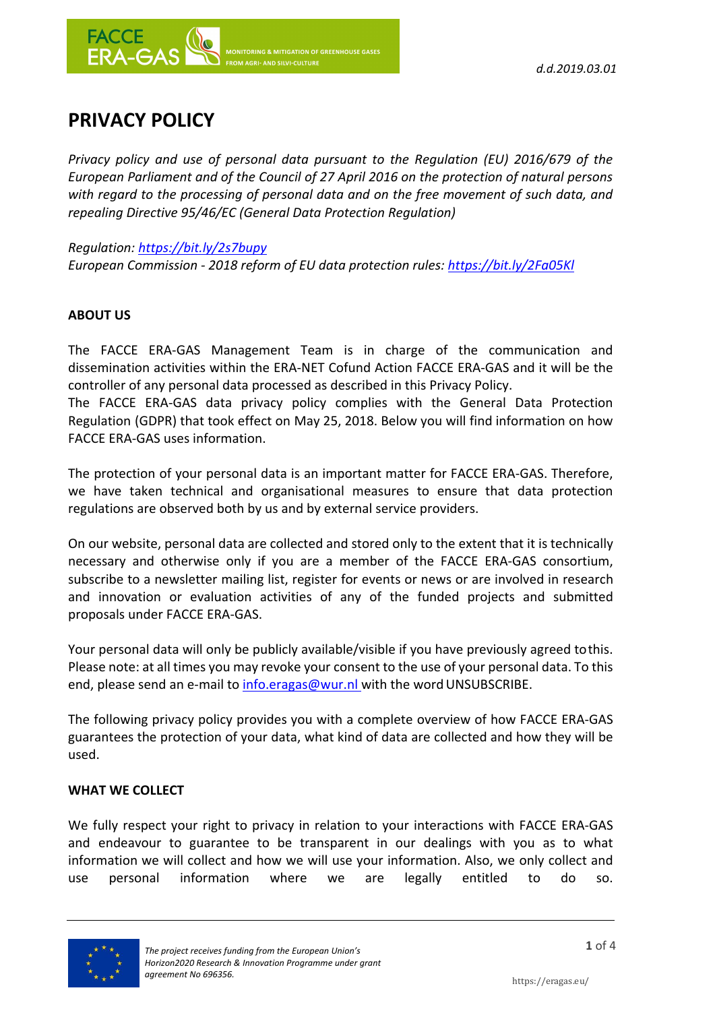



# **PRIVACY POLICY**

*Privacy policy and use of personal data pursuant to the Regulation (EU) 2016/679 of the European Parliament and of the Council of 27 April 2016 on the protection of natural persons with regard to the processing of personal data and on the free movement of such data, and repealing Directive 95/46/EC (General Data Protection Regulation)*

*Regulation: https://bit.ly/2s7bupy*

*European Commission ‐ 2018 reform of EU data protection rules: https://bit.ly/2Fa05Kl*

## **ABOUT US**

The FACCE ERA‐GAS Management Team is in charge of the communication and dissemination activities within the ERA‐NET Cofund Action FACCE ERA‐GAS and it will be the controller of any personal data processed as described in this Privacy Policy.

The FACCE ERA‐GAS data privacy policy complies with the General Data Protection Regulation (GDPR) that took effect on May 25, 2018. Below you will find information on how FACCE ERA‐GAS uses information.

The protection of your personal data is an important matter for FACCE ERA‐GAS. Therefore, we have taken technical and organisational measures to ensure that data protection regulations are observed both by us and by external service providers.

On our website, personal data are collected and stored only to the extent that it is technically necessary and otherwise only if you are a member of the FACCE ERA‐GAS consortium, subscribe to a newsletter mailing list, register for events or news or are involved in research and innovation or evaluation activities of any of the funded projects and submitted proposals under FACCE ERA‐GAS.

Your personal data will only be publicly available/visible if you have previously agreed tothis. Please note: at all times you may revoke your consent to the use of your personal data. To this end, please send an e-mail to info.eragas@wur.nl with the word UNSUBSCRIBE.

The following privacy policy provides you with a complete overview of how FACCE ERA‐GAS guarantees the protection of your data, what kind of data are collected and how they will be used.

## **WHAT WE COLLECT**

We fully respect your right to privacy in relation to your interactions with FACCE ERA‐GAS and endeavour to guarantee to be transparent in our dealings with you as to what information we will collect and how we will use your information. Also, we only collect and use personal information where we are legally entitled to do so.

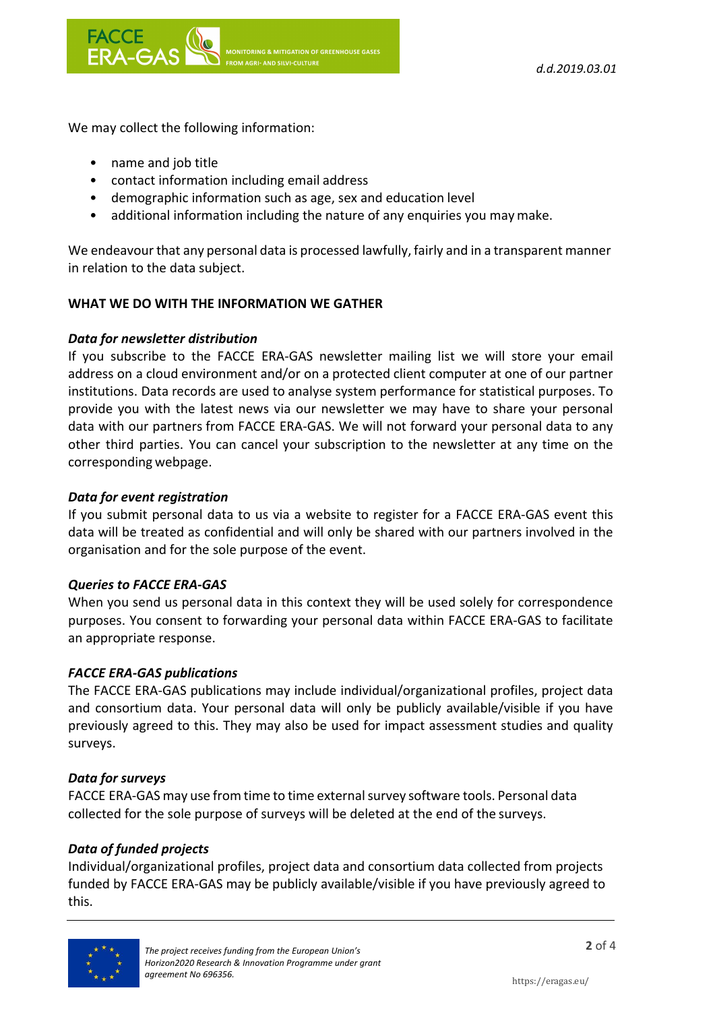We may collect the following information:

- name and job title
- contact information including email address
- demographic information such as age, sex and education level
- additional information including the nature of any enquiries you may make.

We endeavour that any personal data is processed lawfully, fairly and in a transparent manner in relation to the data subject.

## **WHAT WE DO WITH THE INFORMATION WE GATHER**

#### *Data for newsletter distribution*

If you subscribe to the FACCE ERA‐GAS newsletter mailing list we will store your email address on a cloud environment and/or on a protected client computer at one of our partner institutions. Data records are used to analyse system performance for statistical purposes. To provide you with the latest news via our newsletter we may have to share your personal data with our partners from FACCE ERA‐GAS. We will not forward your personal data to any other third parties. You can cancel your subscription to the newsletter at any time on the corresponding webpage.

## *Data for event registration*

If you submit personal data to us via a website to register for a FACCE ERA‐GAS event this data will be treated as confidential and will only be shared with our partners involved in the organisation and for the sole purpose of the event.

#### *Queries to FACCE ERA‐GAS*

When you send us personal data in this context they will be used solely for correspondence purposes. You consent to forwarding your personal data within FACCE ERA‐GAS to facilitate an appropriate response.

#### *FACCE ERA‐GAS publications*

The FACCE ERA‐GAS publications may include individual/organizational profiles, project data and consortium data. Your personal data will only be publicly available/visible if you have previously agreed to this. They may also be used for impact assessment studies and quality surveys.

## *Data for surveys*

FACCE ERA‐GAS may use from time to time externalsurvey software tools. Personal data collected for the sole purpose of surveys will be deleted at the end of the surveys.

## *Data of funded projects*

Individual/organizational profiles, project data and consortium data collected from projects funded by FACCE ERA‐GAS may be publicly available/visible if you have previously agreed to this.

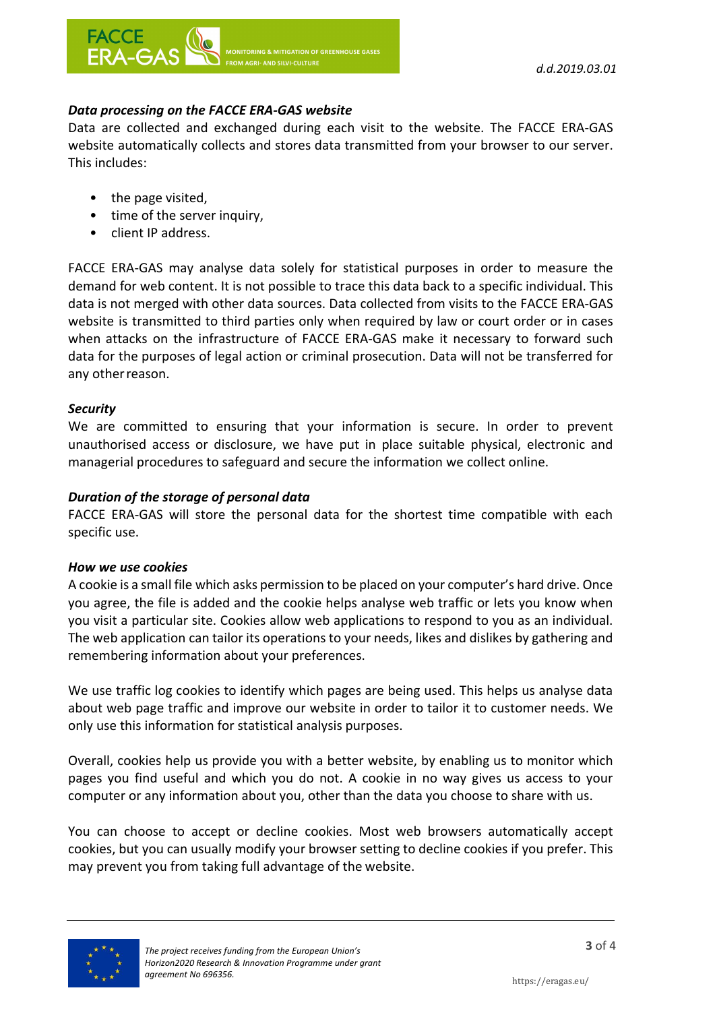

# *Data processing on the FACCE ERA‐GAS website*

**FROM AGRI- AND SILVI-CULTURE** 

Data are collected and exchanged during each visit to the website. The FACCE ERA‐GAS website automatically collects and stores data transmitted from your browser to our server. This includes:

- the page visited,
- time of the server inquiry,
- client IP address.

FACCE ERA‐GAS may analyse data solely for statistical purposes in order to measure the demand for web content. It is not possible to trace this data back to a specific individual. This data is not merged with other data sources. Data collected from visits to the FACCE ERA‐GAS website is transmitted to third parties only when required by law or court order or in cases when attacks on the infrastructure of FACCE ERA-GAS make it necessary to forward such data for the purposes of legal action or criminal prosecution. Data will not be transferred for any otherreason.

#### *Security*

We are committed to ensuring that your information is secure. In order to prevent unauthorised access or disclosure, we have put in place suitable physical, electronic and managerial procedures to safeguard and secure the information we collect online.

#### *Duration of the storage of personal data*

FACCE ERA‐GAS will store the personal data for the shortest time compatible with each specific use.

#### *How we use cookies*

A cookie is a small file which asks permission to be placed on your computer's hard drive. Once you agree, the file is added and the cookie helps analyse web traffic or lets you know when you visit a particular site. Cookies allow web applications to respond to you as an individual. The web application can tailor its operations to your needs, likes and dislikes by gathering and remembering information about your preferences.

We use traffic log cookies to identify which pages are being used. This helps us analyse data about web page traffic and improve our website in order to tailor it to customer needs. We only use this information for statistical analysis purposes.

Overall, cookies help us provide you with a better website, by enabling us to monitor which pages you find useful and which you do not. A cookie in no way gives us access to your computer or any information about you, other than the data you choose to share with us.

You can choose to accept or decline cookies. Most web browsers automatically accept cookies, but you can usually modify your browser setting to decline cookies if you prefer. This may prevent you from taking full advantage of the website.